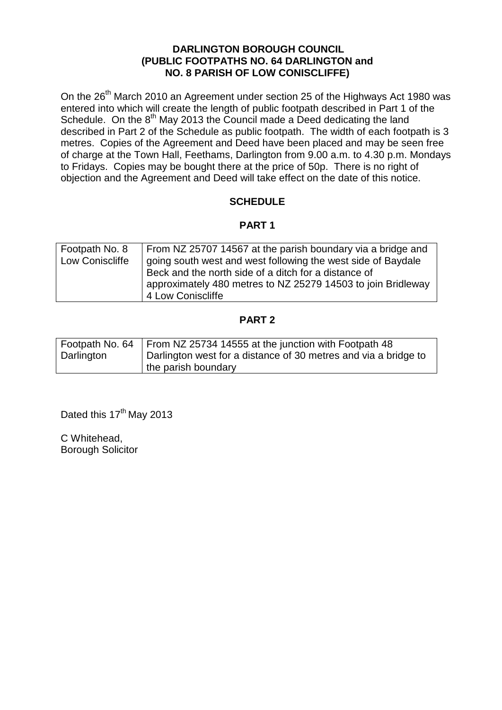## **DARLINGTON BOROUGH COUNCIL (PUBLIC FOOTPATHS NO. 64 DARLINGTON and NO. 8 PARISH OF LOW CONISCLIFFE)**

On the 26<sup>th</sup> March 2010 an Agreement under section 25 of the Highways Act 1980 was entered into which will create the length of public footpath described in Part 1 of the Schedule. On the 8<sup>th</sup> May 2013 the Council made a Deed dedicating the land described in Part 2 of the Schedule as public footpath. The width of each footpath is 3 metres. Copies of the Agreement and Deed have been placed and may be seen free of charge at the Town Hall, Feethams, Darlington from 9.00 a.m. to 4.30 p.m. Mondays to Fridays. Copies may be bought there at the price of 50p. There is no right of objection and the Agreement and Deed will take effect on the date of this notice.

## **SCHEDULE**

## **PART 1**

| Footpath No. 8<br>Low Coniscliffe | From NZ 25707 14567 at the parish boundary via a bridge and<br>going south west and west following the west side of Baydale |
|-----------------------------------|-----------------------------------------------------------------------------------------------------------------------------|
|                                   | Beck and the north side of a ditch for a distance of                                                                        |
|                                   | approximately 480 metres to NZ 25279 14503 to join Bridleway                                                                |
|                                   | 4 Low Coniscliffe                                                                                                           |

## **PART 2**

|            | Footpath No. 64   From NZ 25734 14555 at the junction with Footpath 48 |
|------------|------------------------------------------------------------------------|
| Darlington | Darlington west for a distance of 30 metres and via a bridge to        |
|            | the parish boundary                                                    |

Dated this 17<sup>th</sup> May 2013

C Whitehead, Borough Solicitor